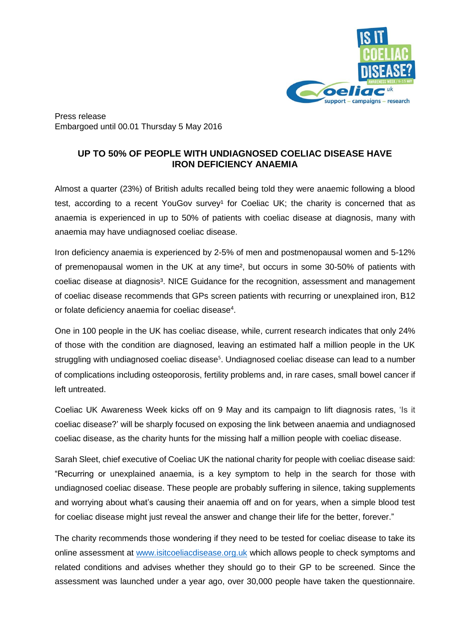

Press release Embargoed until 00.01 Thursday 5 May 2016

## **UP TO 50% OF PEOPLE WITH UNDIAGNOSED COELIAC DISEASE HAVE IRON DEFICIENCY ANAEMIA**

Almost a quarter (23%) of British adults recalled being told they were anaemic following a blood test, according to a recent YouGov survey<sup>1</sup> for Coeliac UK; the charity is concerned that as anaemia is experienced in up to 50% of patients with coeliac disease at diagnosis, many with anaemia may have undiagnosed coeliac disease.

Iron deficiency anaemia is experienced by 2-5% of men and postmenopausal women and 5-12% of premenopausal women in the UK at any time², but occurs in some 30-50% of patients with coeliac disease at diagnosis<sup>3</sup>. NICE Guidance for the recognition, assessment and management of coeliac disease recommends that GPs screen patients with recurring or unexplained iron, B12 or folate deficiency anaemia for coeliac disease<sup>4</sup>.

One in 100 people in the UK has coeliac disease, while, current research indicates that only 24% of those with the condition are diagnosed, leaving an estimated half a million people in the UK struggling with undiagnosed coeliac disease<sup>5</sup>. Undiagnosed coeliac disease can lead to a number of complications including osteoporosis, fertility problems and, in rare cases, small bowel cancer if left untreated.

Coeliac UK Awareness Week kicks off on 9 May and its campaign to lift diagnosis rates, 'Is it coeliac disease?' will be sharply focused on exposing the link between anaemia and undiagnosed coeliac disease, as the charity hunts for the missing half a million people with coeliac disease.

Sarah Sleet, chief executive of Coeliac UK the national charity for people with coeliac disease said: "Recurring or unexplained anaemia, is a key symptom to help in the search for those with undiagnosed coeliac disease. These people are probably suffering in silence, taking supplements and worrying about what's causing their anaemia off and on for years, when a simple blood test for coeliac disease might just reveal the answer and change their life for the better, forever."

The charity recommends those wondering if they need to be tested for coeliac disease to take its online assessment at [www.isitcoeliacdisease.org.uk](http://isitcoeliacdisease.org.uk/) which allows people to check symptoms and related conditions and advises whether they should go to their GP to be screened. Since the assessment was launched under a year ago, over 30,000 people have taken the questionnaire.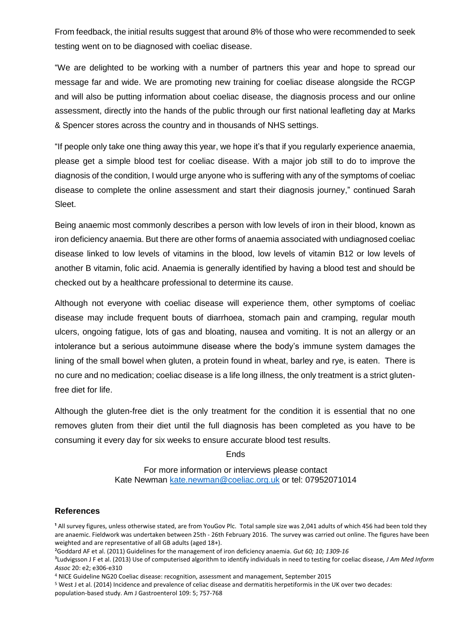From feedback, the initial results suggest that around 8% of those who were recommended to seek testing went on to be diagnosed with coeliac disease.

"We are delighted to be working with a number of partners this year and hope to spread our message far and wide. We are promoting new training for coeliac disease alongside the RCGP and will also be putting information about coeliac disease, the diagnosis process and our online assessment, directly into the hands of the public through our first national leafleting day at Marks & Spencer stores across the country and in thousands of NHS settings.

"If people only take one thing away this year, we hope it's that if you regularly experience anaemia, please get a simple blood test for coeliac disease. With a major job still to do to improve the diagnosis of the condition, I would urge anyone who is suffering with any of the symptoms of coeliac disease to complete the online assessment and start their diagnosis journey," continued Sarah Sleet.

Being anaemic most commonly describes a person with low levels of iron in their blood, known as iron deficiency anaemia. But there are other forms of anaemia associated with undiagnosed coeliac disease linked to low levels of vitamins in the blood, low levels of vitamin B12 or low levels of another B vitamin, folic acid. Anaemia is generally identified by having a blood test and should be checked out by a healthcare professional to determine its cause.

Although not everyone with coeliac disease will experience them, other symptoms of coeliac disease may include frequent bouts of diarrhoea, stomach pain and cramping, regular mouth ulcers, ongoing fatigue, lots of gas and bloating, nausea and vomiting. It is not an allergy or an intolerance but a serious autoimmune disease where the body's immune system damages the lining of the small bowel when gluten, a protein found in wheat, barley and rye, is eaten. There is no cure and no medication; coeliac disease is a life long illness, the only treatment is a strict glutenfree diet for life.

Although the gluten-free diet is the only treatment for the condition it is essential that no one removes gluten from their diet until the full diagnosis has been completed as you have to be consuming it every day for six weeks to ensure accurate blood test results.

**Ends** 

For more information or interviews please contact Kate Newman [kate.newman@coeliac.org.uk](mailto:kate.newman@coeliac.org.uk) or tel: 07952071014

## **References**

<sup>1</sup> All survey figures, unless otherwise stated, are from YouGov Plc. Total sample size was 2,041 adults of which 456 had been told they are anaemic. Fieldwork was undertaken between 25th - 26th February 2016. The survey was carried out online. The figures have been weighted and are representative of all GB adults (aged 18+).

²Goddard AF et al. (2011) Guidelines for the management of iron deficiency anaemia. *Gut 60; 10; 1309-16*

³Ludvigsson J F et al. (2013) Use of computerised algorithm to identify individuals in need to testing for coeliac disease*, J Am Med Inform Assoc* 20: e2; e306-e310

<sup>4</sup> NICE Guideline NG20 Coeliac disease: recognition, assessment and management, September 2015

<sup>5</sup> West J et al. (2014) Incidence and prevalence of celiac disease and dermatitis herpetiformis in the UK over two decades: population-based study. Am J Gastroenterol 109: 5; 757-768